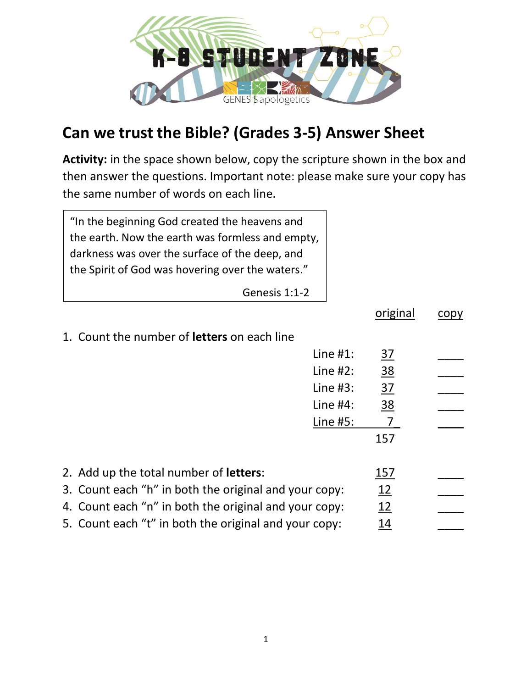

## **Can we trust the Bible? (Grades 3-5) Answer Sheet**

**Activity:** in the space shown below, copy the scripture shown in the box and then answer the questions. Important note: please make sure your copy has the same number of words on each line.

| "In the beginning God created the heavens and    |
|--------------------------------------------------|
| the earth. Now the earth was formless and empty, |
| darkness was over the surface of the deep, and   |
| the Spirit of God was hovering over the waters." |
|                                                  |

Genesis 1:1-2

|                                                       |             | original        | copy |
|-------------------------------------------------------|-------------|-----------------|------|
| 1. Count the number of <b>letters</b> on each line    |             |                 |      |
|                                                       | Line $#1$ : | $\overline{37}$ |      |
|                                                       | Line $#2$ : | 38              |      |
|                                                       | Line $#3$ : | 37              |      |
|                                                       | Line $#4$ : | <u>38</u>       |      |
|                                                       | Line #5:    |                 |      |
|                                                       |             | 157             |      |
|                                                       |             |                 |      |
| 2. Add up the total number of letters:                |             | 157             |      |
| 3. Count each "h" in both the original and your copy: |             | 12              |      |
| 4. Count each "n" in both the original and your copy: |             | 12              |      |
| 5. Count each "t" in both the original and your copy: |             | 14              |      |